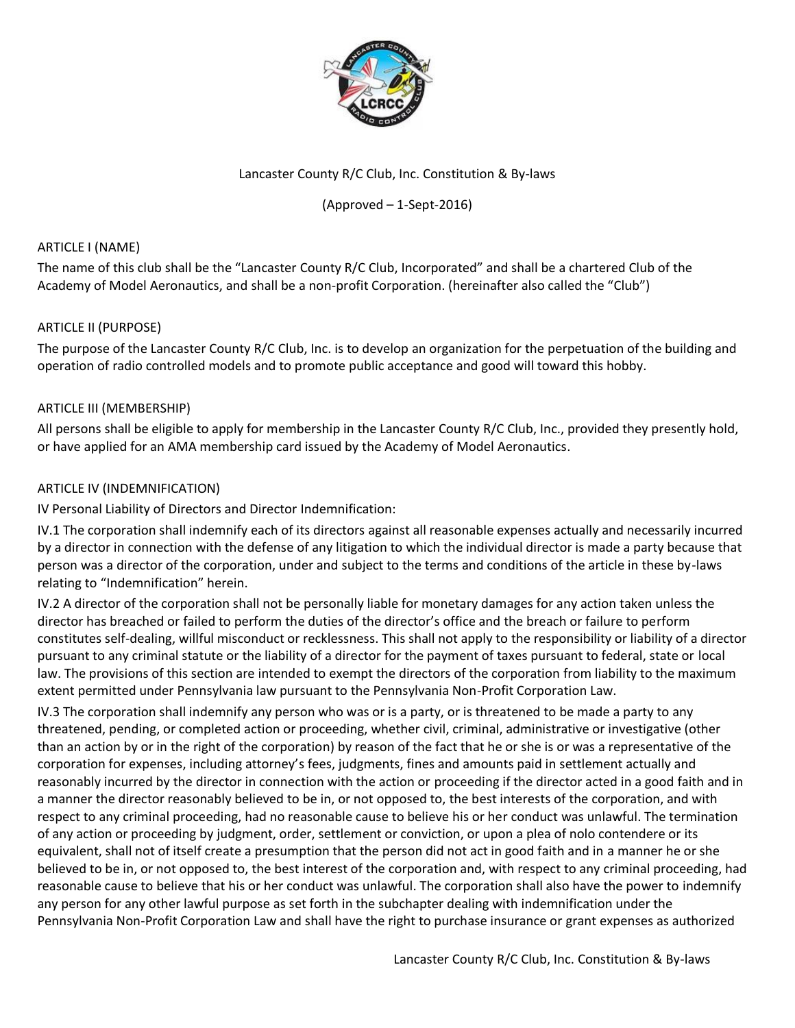

# Lancaster County R/C Club, Inc. Constitution & By-laws

## (Approved – 1-Sept-2016)

## ARTICLE I (NAME)

The name of this club shall be the "Lancaster County R/C Club, Incorporated" and shall be a chartered Club of the Academy of Model Aeronautics, and shall be a non-profit Corporation. (hereinafter also called the "Club")

## ARTICLE II (PURPOSE)

The purpose of the Lancaster County R/C Club, Inc. is to develop an organization for the perpetuation of the building and operation of radio controlled models and to promote public acceptance and good will toward this hobby.

## ARTICLE III (MEMBERSHIP)

All persons shall be eligible to apply for membership in the Lancaster County R/C Club, Inc., provided they presently hold, or have applied for an AMA membership card issued by the Academy of Model Aeronautics.

## ARTICLE IV (INDEMNIFICATION)

IV Personal Liability of Directors and Director Indemnification:

IV.1 The corporation shall indemnify each of its directors against all reasonable expenses actually and necessarily incurred by a director in connection with the defense of any litigation to which the individual director is made a party because that person was a director of the corporation, under and subject to the terms and conditions of the article in these by-laws relating to "Indemnification" herein.

IV.2 A director of the corporation shall not be personally liable for monetary damages for any action taken unless the director has breached or failed to perform the duties of the director's office and the breach or failure to perform constitutes self-dealing, willful misconduct or recklessness. This shall not apply to the responsibility or liability of a director pursuant to any criminal statute or the liability of a director for the payment of taxes pursuant to federal, state or local law. The provisions of this section are intended to exempt the directors of the corporation from liability to the maximum extent permitted under Pennsylvania law pursuant to the Pennsylvania Non-Profit Corporation Law.

IV.3 The corporation shall indemnify any person who was or is a party, or is threatened to be made a party to any threatened, pending, or completed action or proceeding, whether civil, criminal, administrative or investigative (other than an action by or in the right of the corporation) by reason of the fact that he or she is or was a representative of the corporation for expenses, including attorney's fees, judgments, fines and amounts paid in settlement actually and reasonably incurred by the director in connection with the action or proceeding if the director acted in a good faith and in a manner the director reasonably believed to be in, or not opposed to, the best interests of the corporation, and with respect to any criminal proceeding, had no reasonable cause to believe his or her conduct was unlawful. The termination of any action or proceeding by judgment, order, settlement or conviction, or upon a plea of nolo contendere or its equivalent, shall not of itself create a presumption that the person did not act in good faith and in a manner he or she believed to be in, or not opposed to, the best interest of the corporation and, with respect to any criminal proceeding, had reasonable cause to believe that his or her conduct was unlawful. The corporation shall also have the power to indemnify any person for any other lawful purpose as set forth in the subchapter dealing with indemnification under the Pennsylvania Non-Profit Corporation Law and shall have the right to purchase insurance or grant expenses as authorized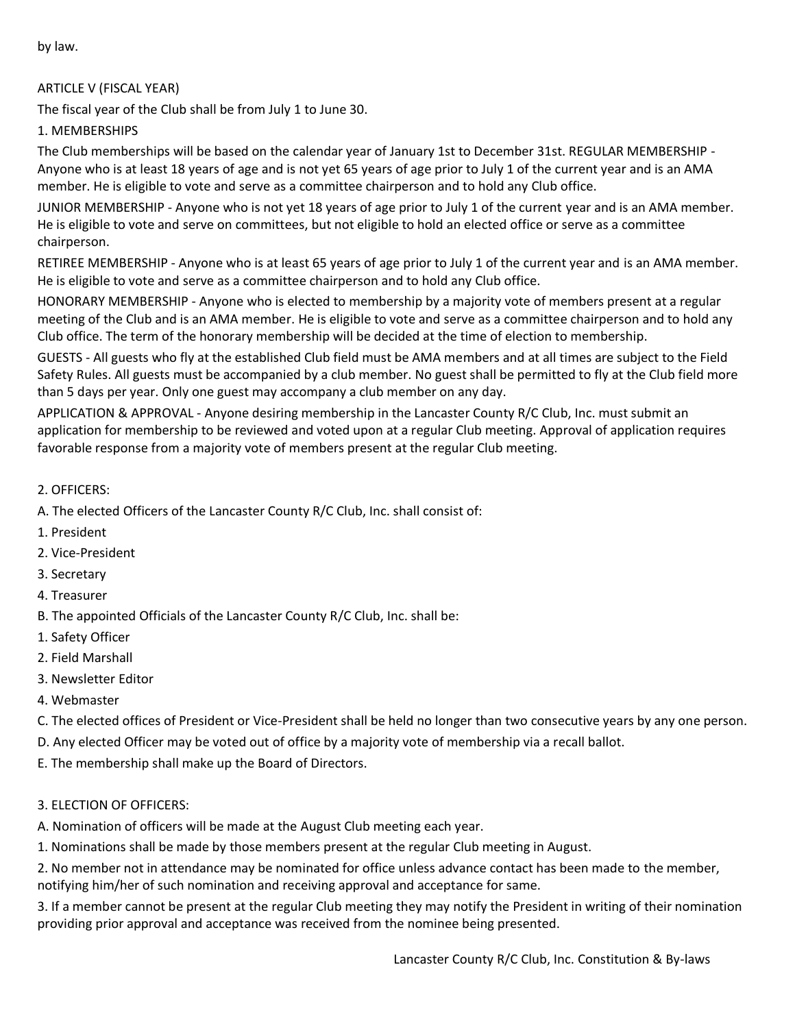by law.

## ARTICLE V (FISCAL YEAR)

The fiscal year of the Club shall be from July 1 to June 30.

## 1. MEMBERSHIPS

The Club memberships will be based on the calendar year of January 1st to December 31st. REGULAR MEMBERSHIP - Anyone who is at least 18 years of age and is not yet 65 years of age prior to July 1 of the current year and is an AMA member. He is eligible to vote and serve as a committee chairperson and to hold any Club office.

JUNIOR MEMBERSHIP - Anyone who is not yet 18 years of age prior to July 1 of the current year and is an AMA member. He is eligible to vote and serve on committees, but not eligible to hold an elected office or serve as a committee chairperson.

RETIREE MEMBERSHIP - Anyone who is at least 65 years of age prior to July 1 of the current year and is an AMA member. He is eligible to vote and serve as a committee chairperson and to hold any Club office.

HONORARY MEMBERSHIP - Anyone who is elected to membership by a majority vote of members present at a regular meeting of the Club and is an AMA member. He is eligible to vote and serve as a committee chairperson and to hold any Club office. The term of the honorary membership will be decided at the time of election to membership.

GUESTS - All guests who fly at the established Club field must be AMA members and at all times are subject to the Field Safety Rules. All guests must be accompanied by a club member. No guest shall be permitted to fly at the Club field more than 5 days per year. Only one guest may accompany a club member on any day.

APPLICATION & APPROVAL - Anyone desiring membership in the Lancaster County R/C Club, Inc. must submit an application for membership to be reviewed and voted upon at a regular Club meeting. Approval of application requires favorable response from a majority vote of members present at the regular Club meeting.

- 2. OFFICERS:
- A. The elected Officers of the Lancaster County R/C Club, Inc. shall consist of:
- 1. President
- 2. Vice-President
- 3. Secretary
- 4. Treasurer
- B. The appointed Officials of the Lancaster County R/C Club, Inc. shall be:
- 1. Safety Officer
- 2. Field Marshall
- 3. Newsletter Editor
- 4. Webmaster
- C. The elected offices of President or Vice-President shall be held no longer than two consecutive years by any one person.
- D. Any elected Officer may be voted out of office by a majority vote of membership via a recall ballot.
- E. The membership shall make up the Board of Directors.

#### 3. ELECTION OF OFFICERS:

A. Nomination of officers will be made at the August Club meeting each year.

1. Nominations shall be made by those members present at the regular Club meeting in August.

2. No member not in attendance may be nominated for office unless advance contact has been made to the member, notifying him/her of such nomination and receiving approval and acceptance for same.

3. If a member cannot be present at the regular Club meeting they may notify the President in writing of their nomination providing prior approval and acceptance was received from the nominee being presented.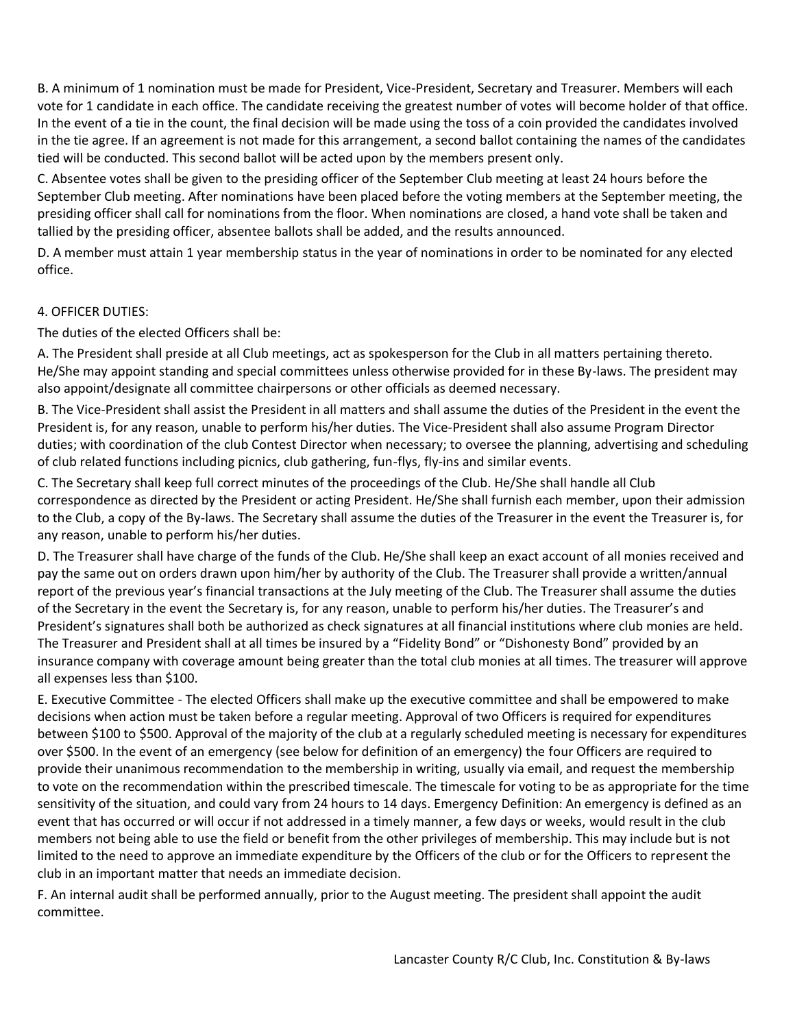B. A minimum of 1 nomination must be made for President, Vice-President, Secretary and Treasurer. Members will each vote for 1 candidate in each office. The candidate receiving the greatest number of votes will become holder of that office. In the event of a tie in the count, the final decision will be made using the toss of a coin provided the candidates involved in the tie agree. If an agreement is not made for this arrangement, a second ballot containing the names of the candidates tied will be conducted. This second ballot will be acted upon by the members present only.

C. Absentee votes shall be given to the presiding officer of the September Club meeting at least 24 hours before the September Club meeting. After nominations have been placed before the voting members at the September meeting, the presiding officer shall call for nominations from the floor. When nominations are closed, a hand vote shall be taken and tallied by the presiding officer, absentee ballots shall be added, and the results announced.

D. A member must attain 1 year membership status in the year of nominations in order to be nominated for any elected office.

## 4. OFFICER DUTIES:

The duties of the elected Officers shall be:

A. The President shall preside at all Club meetings, act as spokesperson for the Club in all matters pertaining thereto. He/She may appoint standing and special committees unless otherwise provided for in these By-laws. The president may also appoint/designate all committee chairpersons or other officials as deemed necessary.

B. The Vice-President shall assist the President in all matters and shall assume the duties of the President in the event the President is, for any reason, unable to perform his/her duties. The Vice-President shall also assume Program Director duties; with coordination of the club Contest Director when necessary; to oversee the planning, advertising and scheduling of club related functions including picnics, club gathering, fun-flys, fly-ins and similar events.

C. The Secretary shall keep full correct minutes of the proceedings of the Club. He/She shall handle all Club correspondence as directed by the President or acting President. He/She shall furnish each member, upon their admission to the Club, a copy of the By-laws. The Secretary shall assume the duties of the Treasurer in the event the Treasurer is, for any reason, unable to perform his/her duties.

D. The Treasurer shall have charge of the funds of the Club. He/She shall keep an exact account of all monies received and pay the same out on orders drawn upon him/her by authority of the Club. The Treasurer shall provide a written/annual report of the previous year's financial transactions at the July meeting of the Club. The Treasurer shall assume the duties of the Secretary in the event the Secretary is, for any reason, unable to perform his/her duties. The Treasurer's and President's signatures shall both be authorized as check signatures at all financial institutions where club monies are held. The Treasurer and President shall at all times be insured by a "Fidelity Bond" or "Dishonesty Bond" provided by an insurance company with coverage amount being greater than the total club monies at all times. The treasurer will approve all expenses less than \$100.

E. Executive Committee - The elected Officers shall make up the executive committee and shall be empowered to make decisions when action must be taken before a regular meeting. Approval of two Officers is required for expenditures between \$100 to \$500. Approval of the majority of the club at a regularly scheduled meeting is necessary for expenditures over \$500. In the event of an emergency (see below for definition of an emergency) the four Officers are required to provide their unanimous recommendation to the membership in writing, usually via email, and request the membership to vote on the recommendation within the prescribed timescale. The timescale for voting to be as appropriate for the time sensitivity of the situation, and could vary from 24 hours to 14 days. Emergency Definition: An emergency is defined as an event that has occurred or will occur if not addressed in a timely manner, a few days or weeks, would result in the club members not being able to use the field or benefit from the other privileges of membership. This may include but is not limited to the need to approve an immediate expenditure by the Officers of the club or for the Officers to represent the club in an important matter that needs an immediate decision.

F. An internal audit shall be performed annually, prior to the August meeting. The president shall appoint the audit committee.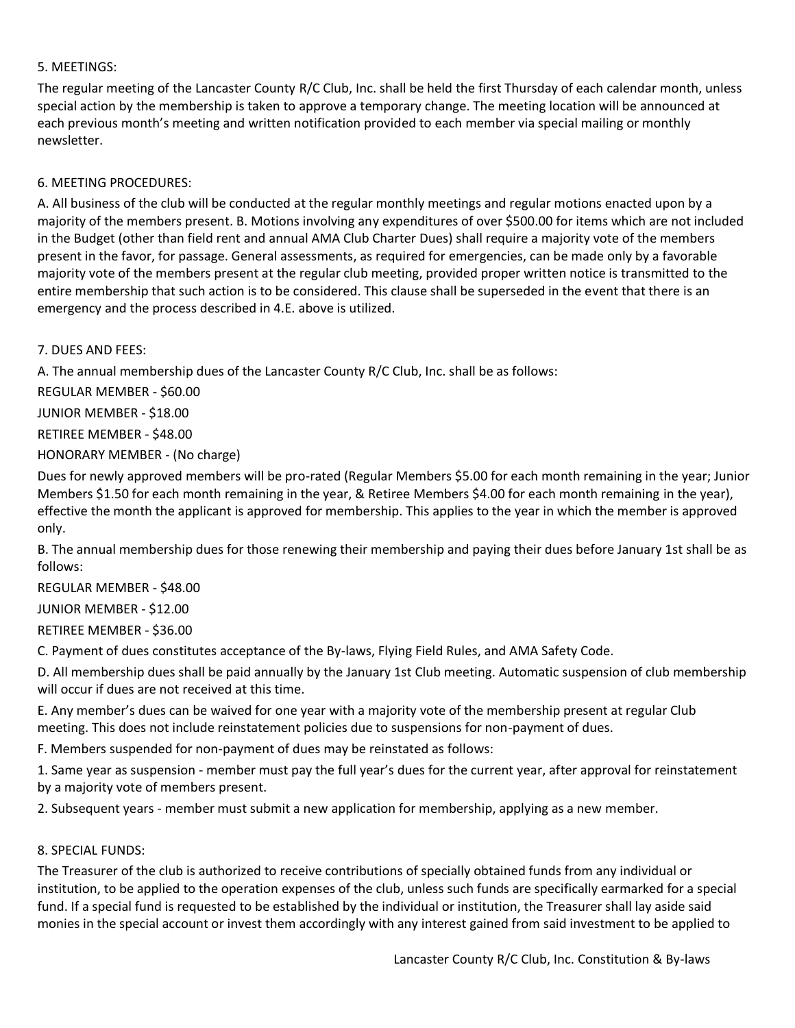## 5. MEETINGS:

The regular meeting of the Lancaster County R/C Club, Inc. shall be held the first Thursday of each calendar month, unless special action by the membership is taken to approve a temporary change. The meeting location will be announced at each previous month's meeting and written notification provided to each member via special mailing or monthly newsletter.

#### 6. MEETING PROCEDURES:

A. All business of the club will be conducted at the regular monthly meetings and regular motions enacted upon by a majority of the members present. B. Motions involving any expenditures of over \$500.00 for items which are not included in the Budget (other than field rent and annual AMA Club Charter Dues) shall require a majority vote of the members present in the favor, for passage. General assessments, as required for emergencies, can be made only by a favorable majority vote of the members present at the regular club meeting, provided proper written notice is transmitted to the entire membership that such action is to be considered. This clause shall be superseded in the event that there is an emergency and the process described in 4.E. above is utilized.

7. DUES AND FEES:

A. The annual membership dues of the Lancaster County R/C Club, Inc. shall be as follows:

REGULAR MEMBER - \$60.00

JUNIOR MEMBER - \$18.00

RETIREE MEMBER - \$48.00

HONORARY MEMBER - (No charge)

Dues for newly approved members will be pro-rated (Regular Members \$5.00 for each month remaining in the year; Junior Members \$1.50 for each month remaining in the year, & Retiree Members \$4.00 for each month remaining in the year), effective the month the applicant is approved for membership. This applies to the year in which the member is approved only.

B. The annual membership dues for those renewing their membership and paying their dues before January 1st shall be as follows:

REGULAR MEMBER - \$48.00

JUNIOR MEMBER - \$12.00

RETIREE MEMBER - \$36.00

C. Payment of dues constitutes acceptance of the By-laws, Flying Field Rules, and AMA Safety Code.

D. All membership dues shall be paid annually by the January 1st Club meeting. Automatic suspension of club membership will occur if dues are not received at this time.

E. Any member's dues can be waived for one year with a majority vote of the membership present at regular Club meeting. This does not include reinstatement policies due to suspensions for non-payment of dues.

F. Members suspended for non-payment of dues may be reinstated as follows:

1. Same year as suspension - member must pay the full year's dues for the current year, after approval for reinstatement by a majority vote of members present.

2. Subsequent years - member must submit a new application for membership, applying as a new member.

#### 8. SPECIAL FUNDS:

The Treasurer of the club is authorized to receive contributions of specially obtained funds from any individual or institution, to be applied to the operation expenses of the club, unless such funds are specifically earmarked for a special fund. If a special fund is requested to be established by the individual or institution, the Treasurer shall lay aside said monies in the special account or invest them accordingly with any interest gained from said investment to be applied to